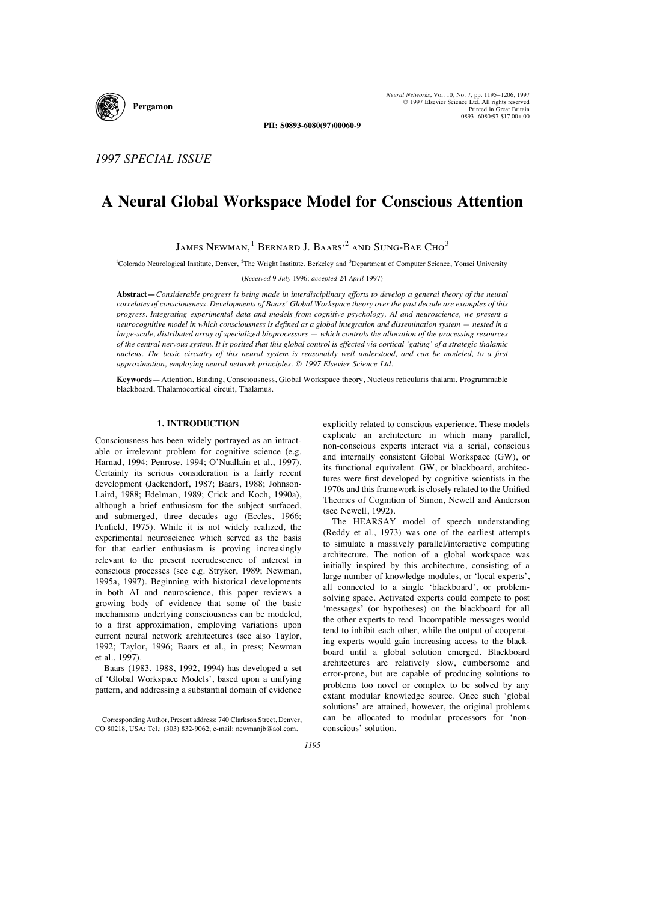

**PII: S0893-6080(97)00060-9**

# *1997 SPECIAL ISSUE*

# **A Neural Global Workspace Model for Conscious Attention**

JAMES NEWMAN, $^1$  BERNARD J. BAARS<sup> $,^2$ </sup> and Sung-Bae Cho<sup>3</sup>

<sup>1</sup>Colorado Neurological Institute, Denver, <sup>2</sup>The Wright Institute, Berkeley and <sup>3</sup>Department of Computer Science, Yonsei University

(*Received* 9 *July* 1996; *accepted* 24 *April* 1997)

**Abstract—***Considerable progress is being made in interdisciplinary efforts to develop a general theory of the neural correlates of consciousness. Developments of Baars' Global Workspace theory over the past decade are examples of this progress. Integrating experimental data and models from cognitive psychology, AI and neuroscience, we present a neurocognitive model in which consciousness is defined as a global integration and dissemination system — nested in a large-scale, distributed array of specialized bioprocessors — which controls the allocation of the processing resources of the central nervous system. It is posited that this global control is effected via cortical 'gating' of a strategic thalamic nucleus. The basic circuitry of this neural system is reasonably well understood, and can be modeled, to a first approximation, employing neural network principles.* ! *1997 Elsevier Science Ltd.*

**Keywords—**Attention, Binding, Consciousness, Global Workspace theory, Nucleus reticularis thalami, Programmable blackboard, Thalamocortical circuit, Thalamus.

# **1. INTRODUCTION**

Consciousness has been widely portrayed as an intractable or irrelevant problem for cognitive science (e.g. Harnad, 1994; Penrose, 1994; O'Nuallain et al., 1997). Certainly its serious consideration is a fairly recent development (Jackendorf, 1987; Baars, 1988; Johnson-Laird, 1988; Edelman, 1989; Crick and Koch, 1990a), although a brief enthusiasm for the subject surfaced, and submerged, three decades ago (Eccles, 1966; Penfield, 1975). While it is not widely realized, the experimental neuroscience which served as the basis for that earlier enthusiasm is proving increasingly relevant to the present recrudescence of interest in conscious processes (see e.g. Stryker, 1989; Newman, 1995a, 1997). Beginning with historical developments in both AI and neuroscience, this paper reviews a growing body of evidence that some of the basic mechanisms underlying consciousness can be modeled, to a first approximation, employing variations upon current neural network architectures (see also Taylor, 1992; Taylor, 1996; Baars et al., in press; Newman et al., 1997).

Baars (1983, 1988, 1992, 1994) has developed a set of 'Global Workspace Models', based upon a unifying pattern, and addressing a substantial domain of evidence explicitly related to conscious experience. These models explicate an architecture in which many parallel, non-conscious experts interact via a serial, conscious and internally consistent Global Workspace (GW), or its functional equivalent. GW, or blackboard, architectures were first developed by cognitive scientists in the 1970s and this framework is closely related to the Unified Theories of Cognition of Simon, Newell and Anderson (see Newell, 1992).

The HEARSAY model of speech understanding (Reddy et al., 1973) was one of the earliest attempts to simulate a massively parallel/interactive computing architecture. The notion of a global workspace was initially inspired by this architecture, consisting of a large number of knowledge modules, or 'local experts', all connected to a single 'blackboard', or problemsolving space. Activated experts could compete to post 'messages' (or hypotheses) on the blackboard for all the other experts to read. Incompatible messages would tend to inhibit each other, while the output of cooperating experts would gain increasing access to the blackboard until a global solution emerged. Blackboard architectures are relatively slow, cumbersome and error-prone, but are capable of producing solutions to problems too novel or complex to be solved by any extant modular knowledge source. Once such 'global solutions' are attained, however, the original problems can be allocated to modular processors for 'nonconscious' solution.

Corresponding Author, Present address: 740 Clarkson Street, Denver, CO 80218, USA; Tel.: (303) 832-9062; e-mail: newmanjb@aol.com.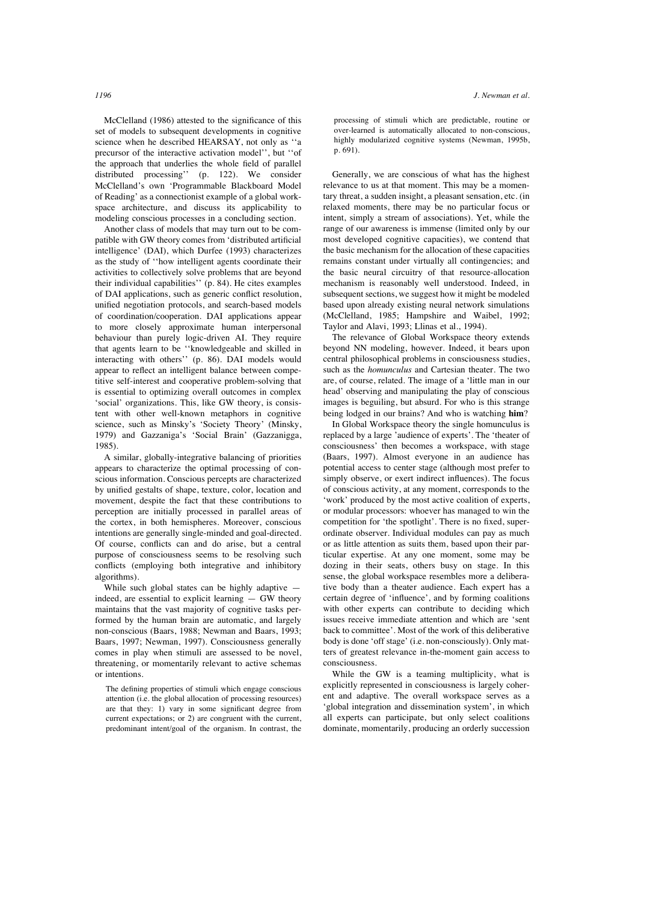McClelland (1986) attested to the significance of this set of models to subsequent developments in cognitive science when he described HEARSAY, not only as ''a precursor of the interactive activation model'', but ''of the approach that underlies the whole field of parallel distributed processing'' (p. 122). We consider McClelland's own 'Programmable Blackboard Model of Reading' as a connectionist example of a global workspace architecture, and discuss its applicability to modeling conscious processes in a concluding section.

Another class of models that may turn out to be compatible with GW theory comes from 'distributed artificial intelligence' (DAI), which Durfee (1993) characterizes as the study of ''how intelligent agents coordinate their activities to collectively solve problems that are beyond their individual capabilities'' (p. 84). He cites examples of DAI applications, such as generic conflict resolution, unified negotiation protocols, and search-based models of coordination/cooperation. DAI applications appear to more closely approximate human interpersonal behaviour than purely logic-driven AI. They require that agents learn to be ''knowledgeable and skilled in interacting with others'' (p. 86). DAI models would appear to reflect an intelligent balance between competitive self-interest and cooperative problem-solving that is essential to optimizing overall outcomes in complex 'social' organizations. This, like GW theory, is consistent with other well-known metaphors in cognitive science, such as Minsky's 'Society Theory' (Minsky, 1979) and Gazzaniga's 'Social Brain' (Gazzanigga, 1985).

A similar, globally-integrative balancing of priorities appears to characterize the optimal processing of conscious information. Conscious percepts are characterized by unified gestalts of shape, texture, color, location and movement, despite the fact that these contributions to perception are initially processed in parallel areas of the cortex, in both hemispheres. Moreover, conscious intentions are generally single-minded and goal-directed. Of course, conflicts can and do arise, but a central purpose of consciousness seems to be resolving such conflicts (employing both integrative and inhibitory algorithms).

While such global states can be highly adaptive  $$ indeed, are essential to explicit learning — GW theory maintains that the vast majority of cognitive tasks performed by the human brain are automatic, and largely non-conscious (Baars, 1988; Newman and Baars, 1993; Baars, 1997; Newman, 1997). Consciousness generally comes in play when stimuli are assessed to be novel, threatening, or momentarily relevant to active schemas or intentions.

The defining properties of stimuli which engage conscious attention (i.e. the global allocation of processing resources) are that they: 1) vary in some significant degree from current expectations; or 2) are congruent with the current, predominant intent/goal of the organism. In contrast, the

processing of stimuli which are predictable, routine or over-learned is automatically allocated to non-conscious, highly modularized cognitive systems (Newman, 1995b, p. 691).

Generally, we are conscious of what has the highest relevance to us at that moment. This may be a momentary threat, a sudden insight, a pleasant sensation, etc. (in relaxed moments, there may be no particular focus or intent, simply a stream of associations). Yet, while the range of our awareness is immense (limited only by our most developed cognitive capacities), we contend that the basic mechanism for the allocation of these capacities remains constant under virtually all contingencies; and the basic neural circuitry of that resource-allocation mechanism is reasonably well understood. Indeed, in subsequent sections, we suggest how it might be modeled based upon already existing neural network simulations (McClelland, 1985; Hampshire and Waibel, 1992; Taylor and Alavi, 1993; Llinas et al., 1994).

The relevance of Global Workspace theory extends beyond NN modeling, however. Indeed, it bears upon central philosophical problems in consciousness studies, such as the *homunculus* and Cartesian theater. The two are, of course, related. The image of a 'little man in our head' observing and manipulating the play of conscious images is beguiling, but absurd. For who is this strange being lodged in our brains? And who is watching **him**?

In Global Workspace theory the single homunculus is replaced by a large 'audience of experts'. The 'theater of consciousness' then becomes a workspace, with stage (Baars, 1997). Almost everyone in an audience has potential access to center stage (although most prefer to simply observe, or exert indirect influences). The focus of conscious activity, at any moment, corresponds to the 'work' produced by the most active coalition of experts, or modular processors: whoever has managed to win the competition for 'the spotlight'. There is no fixed, superordinate observer. Individual modules can pay as much or as little attention as suits them, based upon their particular expertise. At any one moment, some may be dozing in their seats, others busy on stage. In this sense, the global workspace resembles more a deliberative body than a theater audience. Each expert has a certain degree of 'influence', and by forming coalitions with other experts can contribute to deciding which issues receive immediate attention and which are 'sent back to committee'. Most of the work of this deliberative body is done 'off stage' (i.e. non-consciously). Only matters of greatest relevance in-the-moment gain access to consciousness.

While the GW is a teaming multiplicity, what is explicitly represented in consciousness is largely coherent and adaptive. The overall workspace serves as a 'global integration and dissemination system', in which all experts can participate, but only select coalitions dominate, momentarily, producing an orderly succession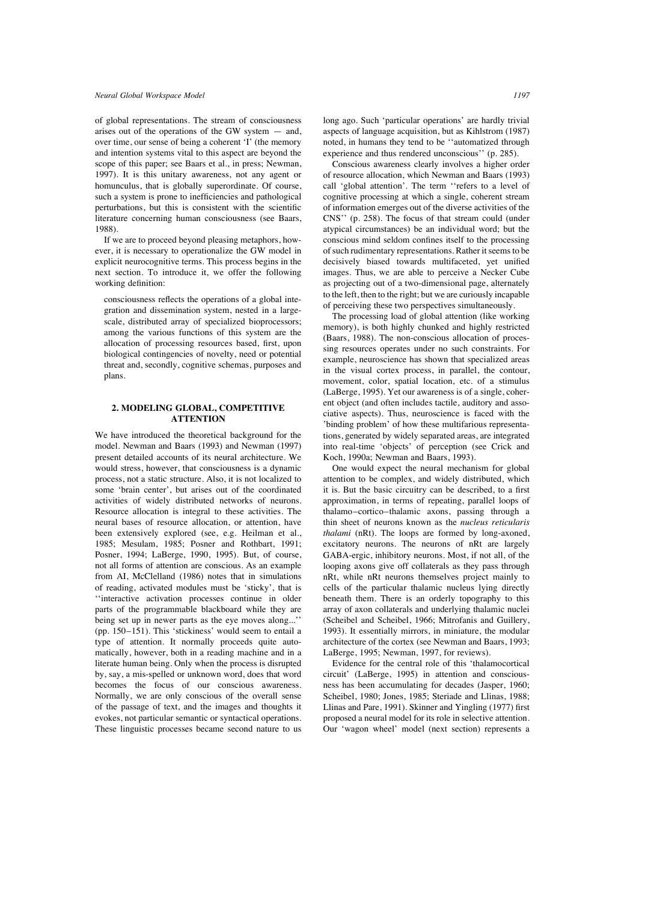of global representations. The stream of consciousness arises out of the operations of the GW system — and, over time, our sense of being a coherent 'I' (the memory and intention systems vital to this aspect are beyond the scope of this paper; see Baars et al., in press; Newman, 1997). It is this unitary awareness, not any agent or homunculus, that is globally superordinate. Of course, such a system is prone to inefficiencies and pathological perturbations, but this is consistent with the scientific literature concerning human consciousness (see Baars, 1988).

If we are to proceed beyond pleasing metaphors, however, it is necessary to operationalize the GW model in explicit neurocognitive terms. This process begins in the next section. To introduce it, we offer the following working definition:

consciousness reflects the operations of a global integration and dissemination system, nested in a largescale, distributed array of specialized bioprocessors; among the various functions of this system are the allocation of processing resources based, first, upon biological contingencies of novelty, need or potential threat and, secondly, cognitive schemas, purposes and plans.

#### **2. MODELING GLOBAL, COMPETITIVE ATTENTION**

We have introduced the theoretical background for the model. Newman and Baars (1993) and Newman (1997) present detailed accounts of its neural architecture. We would stress, however, that consciousness is a dynamic process, not a static structure. Also, it is not localized to some 'brain center', but arises out of the coordinated activities of widely distributed networks of neurons. Resource allocation is integral to these activities. The neural bases of resource allocation, or attention, have been extensively explored (see, e.g. Heilman et al., 1985; Mesulam, 1985; Posner and Rothbart, 1991; Posner, 1994; LaBerge, 1990, 1995). But, of course, not all forms of attention are conscious. As an example from AI, McClelland (1986) notes that in simulations of reading, activated modules must be 'sticky', that is ''interactive activation processes continue in older parts of the programmable blackboard while they are being set up in newer parts as the eye moves along...'' (pp. 150–151). This 'stickiness' would seem to entail a type of attention. It normally proceeds quite automatically, however, both in a reading machine and in a literate human being. Only when the process is disrupted by, say, a mis-spelled or unknown word, does that word becomes the focus of our conscious awareness. Normally, we are only conscious of the overall sense of the passage of text, and the images and thoughts it evokes, not particular semantic or syntactical operations. These linguistic processes became second nature to us long ago. Such 'particular operations' are hardly trivial aspects of language acquisition, but as Kihlstrom (1987) noted, in humans they tend to be ''automatized through experience and thus rendered unconscious'' (p. 285).

Conscious awareness clearly involves a higher order of resource allocation, which Newman and Baars (1993) call 'global attention'. The term ''refers to a level of cognitive processing at which a single, coherent stream of information emerges out of the diverse activities of the CNS'' (p. 258). The focus of that stream could (under atypical circumstances) be an individual word; but the conscious mind seldom confines itself to the processing of such rudimentary representations. Rather it seems to be decisively biased towards multifaceted, yet unified images. Thus, we are able to perceive a Necker Cube as projecting out of a two-dimensional page, alternately to the left, then to the right; but we are curiously incapable of perceiving these two perspectives simultaneously.

The processing load of global attention (like working memory), is both highly chunked and highly restricted (Baars, 1988). The non-conscious allocation of processing resources operates under no such constraints. For example, neuroscience has shown that specialized areas in the visual cortex process, in parallel, the contour, movement, color, spatial location, etc. of a stimulus (LaBerge, 1995). Yet our awareness is of a single, coherent object (and often includes tactile, auditory and associative aspects). Thus, neuroscience is faced with the 'binding problem' of how these multifarious representations, generated by widely separated areas, are integrated into real-time 'objects' of perception (see Crick and Koch, 1990a; Newman and Baars, 1993).

One would expect the neural mechanism for global attention to be complex, and widely distributed, which it is. But the basic circuitry can be described, to a first approximation, in terms of repeating, parallel loops of thalamo–cortico–thalamic axons, passing through a thin sheet of neurons known as the *nucleus reticularis thalami* (nRt). The loops are formed by long-axoned, excitatory neurons. The neurons of nRt are largely GABA-ergic, inhibitory neurons. Most, if not all, of the looping axons give off collaterals as they pass through nRt, while nRt neurons themselves project mainly to cells of the particular thalamic nucleus lying directly beneath them. There is an orderly topography to this array of axon collaterals and underlying thalamic nuclei (Scheibel and Scheibel, 1966; Mitrofanis and Guillery, 1993). It essentially mirrors, in miniature, the modular architecture of the cortex (see Newman and Baars, 1993; LaBerge, 1995; Newman, 1997, for reviews).

Evidence for the central role of this 'thalamocortical circuit' (LaBerge, 1995) in attention and consciousness has been accumulating for decades (Jasper, 1960; Scheibel, 1980; Jones, 1985; Steriade and Llinas, 1988; Llinas and Pare, 1991). Skinner and Yingling (1977) first proposed a neural model for its role in selective attention. Our 'wagon wheel' model (next section) represents a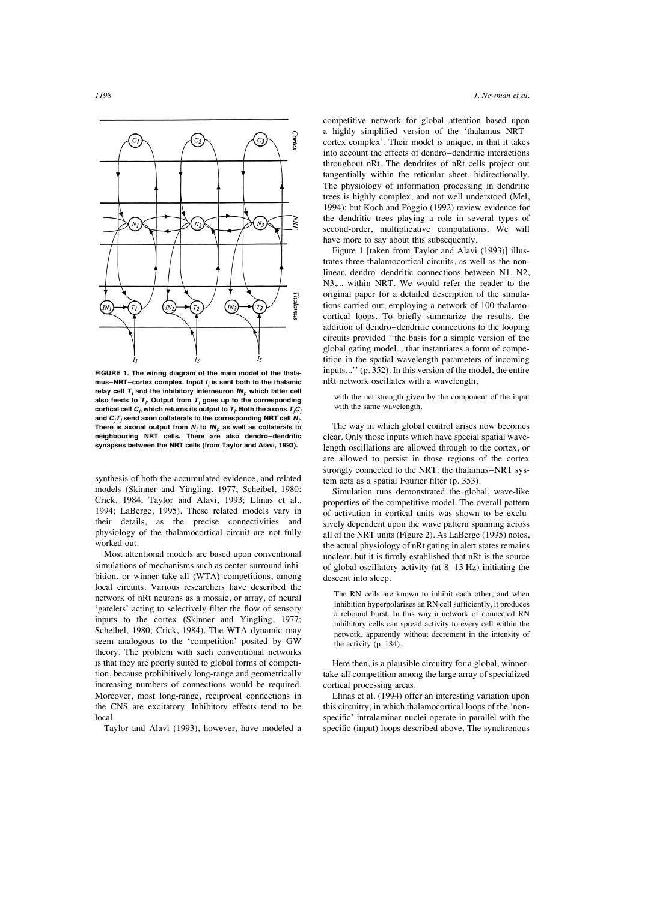

**FIGURE 1. The wiring diagram of the main model of the thalamus–NRT–cortex complex. Input <sup>I</sup> <sup>j</sup> is sent both to the thalamic relay cell <sup>T</sup><sup>j</sup> and the inhibitory interneuron IN<sup>j</sup> , which latter cell also feeds to <sup>T</sup><sup>j</sup> . Output from <sup>T</sup><sup>j</sup> goes up to the corresponding** cortical cell  $\bm{C}_j$ , which returns its output to  $\bm{T}_j$ . Both the axons  $\bm{T}_j\bm{C}_j$ and  $C_j T_j$  send axon collaterals to the corresponding NRT cell  $N_j$ . **There is axonal output from <sup>N</sup><sup>j</sup> to IN<sup>j</sup> , as well as collaterals to neighbouring NRT cells. There are also dendro–dendritic synapses between the NRT cells (from Taylor and Alavi, 1993).**

synthesis of both the accumulated evidence, and related models (Skinner and Yingling, 1977; Scheibel, 1980; Crick, 1984; Taylor and Alavi, 1993; Llinas et al., 1994; LaBerge, 1995). These related models vary in their details, as the precise connectivities and physiology of the thalamocortical circuit are not fully worked out.

Most attentional models are based upon conventional simulations of mechanisms such as center-surround inhibition, or winner-take-all (WTA) competitions, among local circuits. Various researchers have described the network of nRt neurons as a mosaic, or array, of neural 'gatelets' acting to selectively filter the flow of sensory inputs to the cortex (Skinner and Yingling, 1977; Scheibel, 1980; Crick, 1984). The WTA dynamic may seem analogous to the 'competition' posited by GW theory. The problem with such conventional networks is that they are poorly suited to global forms of competition, because prohibitively long-range and geometrically increasing numbers of connections would be required. Moreover, most long-range, reciprocal connections in the CNS are excitatory. Inhibitory effects tend to be local.

Taylor and Alavi (1993), however, have modeled a

competitive network for global attention based upon a highly simplified version of the 'thalamus–NRT– cortex complex'. Their model is unique, in that it takes into account the effects of dendro–dendritic interactions throughout nRt. The dendrites of nRt cells project out tangentially within the reticular sheet, bidirectionally. The physiology of information processing in dendritic trees is highly complex, and not well understood (Mel, 1994); but Koch and Poggio (1992) review evidence for the dendritic trees playing a role in several types of second-order, multiplicative computations. We will have more to say about this subsequently.

Figure 1 [taken from Taylor and Alavi (1993)] illustrates three thalamocortical circuits, as well as the nonlinear, dendro–dendritic connections between N1, N2, N3,... within NRT. We would refer the reader to the original paper for a detailed description of the simulations carried out, employing a network of 100 thalamocortical loops. To briefly summarize the results, the addition of dendro–dendritic connections to the looping circuits provided ''the basis for a simple version of the global gating model... that instantiates a form of competition in the spatial wavelength parameters of incoming inputs...'' (p. 352). In this version of the model, the entire nRt network oscillates with a wavelength,

with the net strength given by the component of the input with the same wavelength.

The way in which global control arises now becomes clear. Only those inputs which have special spatial wavelength oscillations are allowed through to the cortex, or are allowed to persist in those regions of the cortex strongly connected to the NRT: the thalamus–NRT system acts as a spatial Fourier filter (p. 353).

Simulation runs demonstrated the global, wave-like properties of the competitive model. The overall pattern of activation in cortical units was shown to be exclusively dependent upon the wave pattern spanning across all of the NRT units (Figure 2). As LaBerge (1995) notes, the actual physiology of nRt gating in alert states remains unclear, but it is firmly established that nRt is the source of global oscillatory activity (at 8–13 Hz) initiating the descent into sleep.

The RN cells are known to inhibit each other, and when inhibition hyperpolarizes an RN cell sufficiently, it produces a rebound burst. In this way a network of connected RN inhibitory cells can spread activity to every cell within the network, apparently without decrement in the intensity of the activity (p. 184).

Here then, is a plausible circuitry for a global, winnertake-all competition among the large array of specialized cortical processing areas.

Llinas et al. (1994) offer an interesting variation upon this circuitry, in which thalamocortical loops of the 'nonspecific' intralaminar nuclei operate in parallel with the specific (input) loops described above. The synchronous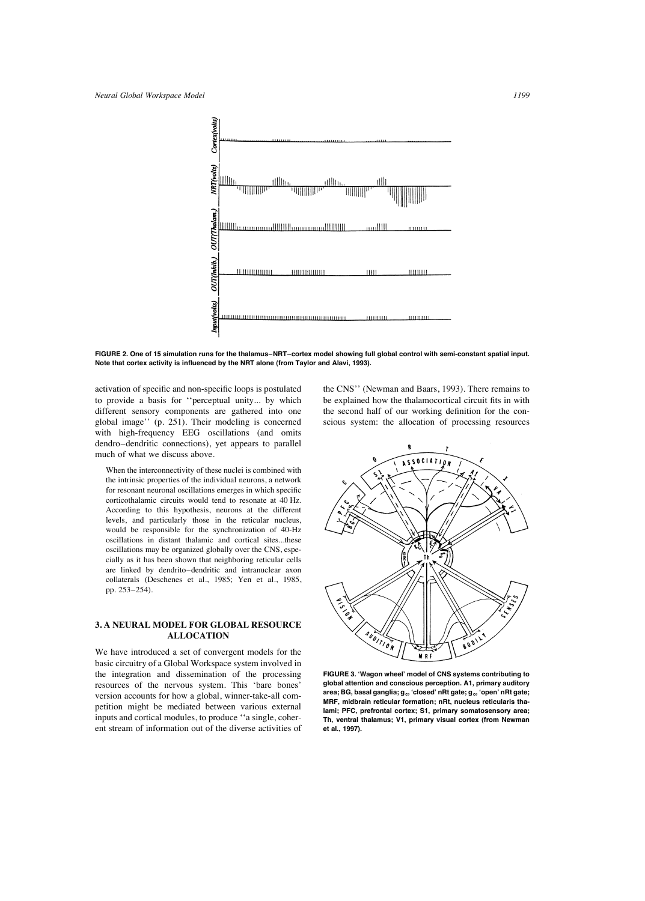



**FIGURE 2. One of 15 simulation runs for the thalamus–NRT–cortex model showing full global control with semi-constant spatial input. Note that cortex activity is influenced by the NRT alone (from Taylor and Alavi, 1993).**

activation of specific and non-specific loops is postulated to provide a basis for ''perceptual unity... by which different sensory components are gathered into one global image'' (p. 251). Their modeling is concerned with high-frequency EEG oscillations (and omits dendro–dendritic connections), yet appears to parallel much of what we discuss above.

When the interconnectivity of these nuclei is combined with the intrinsic properties of the individual neurons, a network for resonant neuronal oscillations emerges in which specific corticothalamic circuits would tend to resonate at 40 Hz. According to this hypothesis, neurons at the different levels, and particularly those in the reticular nucleus, would be responsible for the synchronization of 40-Hz oscillations in distant thalamic and cortical sites...these oscillations may be organized globally over the CNS, especially as it has been shown that neighboring reticular cells are linked by dendrito–dendritic and intranuclear axon collaterals (Deschenes et al., 1985; Yen et al., 1985, pp. 253–254).

# **3. A NEURAL MODEL FOR GLOBAL RESOURCE ALLOCATION**

We have introduced a set of convergent models for the basic circuitry of a Global Workspace system involved in the integration and dissemination of the processing resources of the nervous system. This 'bare bones' version accounts for how a global, winner-take-all competition might be mediated between various external inputs and cortical modules, to produce ''a single, coherent stream of information out of the diverse activities of the CNS'' (Newman and Baars, 1993). There remains to be explained how the thalamocortical circuit fits in with the second half of our working definition for the conscious system: the allocation of processing resources



**FIGURE 3. 'Wagon wheel' model of CNS systems contributing to global attention and conscious perception. A1, primary auditory** area; BG, basal ganglia; g<sub>c</sub>, 'closed' nRt gate; g<sub>o</sub>, 'open' nRt gate; **MRF, midbrain reticular formation; nRt, nucleus reticularis thalami; PFC, prefrontal cortex; S1, primary somatosensory area; Th, ventral thalamus; V1, primary visual cortex (from Newman et al., 1997).**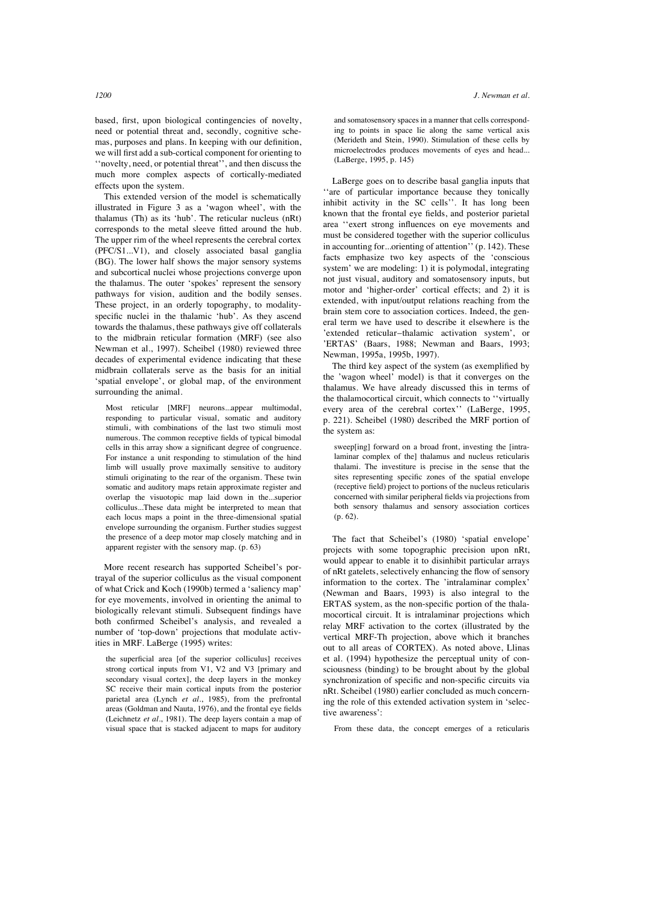based, first, upon biological contingencies of novelty, need or potential threat and, secondly, cognitive schemas, purposes and plans. In keeping with our definition, we will first add a sub-cortical component for orienting to ''novelty, need, or potential threat'', and then discuss the much more complex aspects of cortically-mediated effects upon the system.

This extended version of the model is schematically illustrated in Figure 3 as a 'wagon wheel', with the thalamus (Th) as its 'hub'. The reticular nucleus (nRt) corresponds to the metal sleeve fitted around the hub. The upper rim of the wheel represents the cerebral cortex (PFC/S1...V1), and closely associated basal ganglia (BG). The lower half shows the major sensory systems and subcortical nuclei whose projections converge upon the thalamus. The outer 'spokes' represent the sensory pathways for vision, audition and the bodily senses. These project, in an orderly topography, to modalityspecific nuclei in the thalamic 'hub'. As they ascend towards the thalamus, these pathways give off collaterals to the midbrain reticular formation (MRF) (see also Newman et al., 1997). Scheibel (1980) reviewed three decades of experimental evidence indicating that these midbrain collaterals serve as the basis for an initial 'spatial envelope', or global map, of the environment surrounding the animal.

Most reticular [MRF] neurons...appear multimodal, responding to particular visual, somatic and auditory stimuli, with combinations of the last two stimuli most numerous. The common receptive fields of typical bimodal cells in this array show a significant degree of congruence. For instance a unit responding to stimulation of the hind limb will usually prove maximally sensitive to auditory stimuli originating to the rear of the organism. These twin somatic and auditory maps retain approximate register and overlap the visuotopic map laid down in the...superior colliculus...These data might be interpreted to mean that each locus maps a point in the three-dimensional spatial envelope surrounding the organism. Further studies suggest the presence of a deep motor map closely matching and in apparent register with the sensory map. (p. 63)

More recent research has supported Scheibel's portrayal of the superior colliculus as the visual component of what Crick and Koch (1990b) termed a 'saliency map' for eye movements, involved in orienting the animal to biologically relevant stimuli. Subsequent findings have both confirmed Scheibel's analysis, and revealed a number of 'top-down' projections that modulate activities in MRF. LaBerge (1995) writes:

the superficial area [of the superior colliculus] receives strong cortical inputs from V1, V2 and V3 [primary and secondary visual cortex], the deep layers in the monkey SC receive their main cortical inputs from the posterior parietal area (Lynch *et al*., 1985), from the prefrontal areas (Goldman and Nauta, 1976), and the frontal eye fields (Leichnetz *et al*., 1981). The deep layers contain a map of visual space that is stacked adjacent to maps for auditory and somatosensory spaces in a manner that cells corresponding to points in space lie along the same vertical axis (Merideth and Stein, 1990). Stimulation of these cells by microelectrodes produces movements of eyes and head...

(LaBerge, 1995, p. 145)

LaBerge goes on to describe basal ganglia inputs that ''are of particular importance because they tonically inhibit activity in the SC cells''. It has long been known that the frontal eye fields, and posterior parietal area ''exert strong influences on eye movements and must be considered together with the superior colliculus in accounting for...orienting of attention'' (p. 142). These facts emphasize two key aspects of the 'conscious system' we are modeling: 1) it is polymodal, integrating not just visual, auditory and somatosensory inputs, but motor and 'higher-order' cortical effects; and 2) it is extended, with input/output relations reaching from the brain stem core to association cortices. Indeed, the general term we have used to describe it elsewhere is the 'extended reticular–thalamic activation system', or 'ERTAS' (Baars, 1988; Newman and Baars, 1993; Newman, 1995a, 1995b, 1997).

The third key aspect of the system (as exemplified by the 'wagon wheel' model) is that it converges on the thalamus. We have already discussed this in terms of the thalamocortical circuit, which connects to ''virtually every area of the cerebral cortex'' (LaBerge, 1995, p. 221). Scheibel (1980) described the MRF portion of the system as:

sweep[ing] forward on a broad front, investing the [intralaminar complex of the] thalamus and nucleus reticularis thalami. The investiture is precise in the sense that the sites representing specific zones of the spatial envelope (receptive field) project to portions of the nucleus reticularis concerned with similar peripheral fields via projections from both sensory thalamus and sensory association cortices (p. 62).

The fact that Scheibel's (1980) 'spatial envelope' projects with some topographic precision upon nRt, would appear to enable it to disinhibit particular arrays of nRt gatelets, selectively enhancing the flow of sensory information to the cortex. The 'intralaminar complex' (Newman and Baars, 1993) is also integral to the ERTAS system, as the non-specific portion of the thalamocortical circuit. It is intralaminar projections which relay MRF activation to the cortex (illustrated by the vertical MRF-Th projection, above which it branches out to all areas of CORTEX). As noted above, Llinas et al. (1994) hypothesize the perceptual unity of consciousness (binding) to be brought about by the global synchronization of specific and non-specific circuits via nRt. Scheibel (1980) earlier concluded as much concerning the role of this extended activation system in 'selective awareness':

From these data, the concept emerges of a reticularis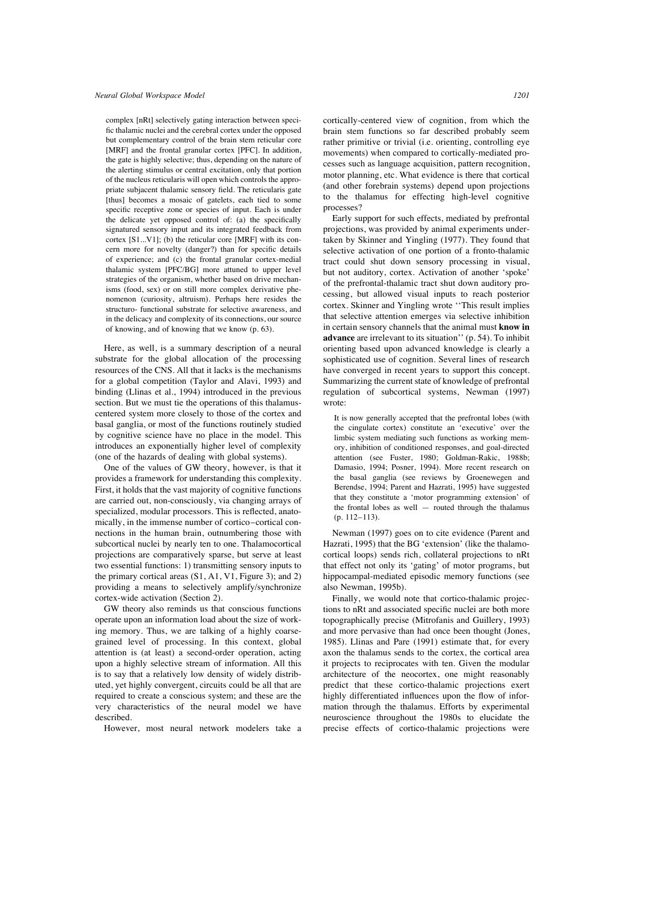complex [nRt] selectively gating interaction between specific thalamic nuclei and the cerebral cortex under the opposed but complementary control of the brain stem reticular core [MRF] and the frontal granular cortex [PFC]. In addition, the gate is highly selective; thus, depending on the nature of the alerting stimulus or central excitation, only that portion of the nucleus reticularis will open which controls the appropriate subjacent thalamic sensory field. The reticularis gate [thus] becomes a mosaic of gatelets, each tied to some specific receptive zone or species of input. Each is under the delicate yet opposed control of: (a) the specifically signatured sensory input and its integrated feedback from cortex [S1...V1]; (b) the reticular core [MRF] with its concern more for novelty (danger?) than for specific details of experience; and (c) the frontal granular cortex-medial thalamic system [PFC/BG] more attuned to upper level strategies of the organism, whether based on drive mechanisms (food, sex) or on still more complex derivative phenomenon (curiosity, altruism). Perhaps here resides the structuro- functional substrate for selective awareness, and in the delicacy and complexity of its connections, our source of knowing, and of knowing that we know (p. 63).

Here, as well, is a summary description of a neural substrate for the global allocation of the processing resources of the CNS. All that it lacks is the mechanisms for a global competition (Taylor and Alavi, 1993) and binding (Llinas et al., 1994) introduced in the previous section. But we must tie the operations of this thalamuscentered system more closely to those of the cortex and basal ganglia, or most of the functions routinely studied by cognitive science have no place in the model. This introduces an exponentially higher level of complexity (one of the hazards of dealing with global systems).

One of the values of GW theory, however, is that it provides a framework for understanding this complexity. First, it holds that the vast majority of cognitive functions are carried out, non-consciously, via changing arrays of specialized, modular processors. This is reflected, anatomically, in the immense number of cortico–cortical connections in the human brain, outnumbering those with subcortical nuclei by nearly ten to one. Thalamocortical projections are comparatively sparse, but serve at least two essential functions: 1) transmitting sensory inputs to the primary cortical areas (S1, A1, V1, Figure 3); and 2) providing a means to selectively amplify/synchronize cortex-wide activation (Section 2).

GW theory also reminds us that conscious functions operate upon an information load about the size of working memory. Thus, we are talking of a highly coarsegrained level of processing. In this context, global attention is (at least) a second-order operation, acting upon a highly selective stream of information. All this is to say that a relatively low density of widely distributed, yet highly convergent, circuits could be all that are required to create a conscious system; and these are the very characteristics of the neural model we have described.

However, most neural network modelers take a

cortically-centered view of cognition, from which the brain stem functions so far described probably seem rather primitive or trivial (i.e. orienting, controlling eye movements) when compared to cortically-mediated processes such as language acquisition, pattern recognition, motor planning, etc. What evidence is there that cortical (and other forebrain systems) depend upon projections to the thalamus for effecting high-level cognitive processes?

Early support for such effects, mediated by prefrontal projections, was provided by animal experiments undertaken by Skinner and Yingling (1977). They found that selective activation of one portion of a fronto-thalamic tract could shut down sensory processing in visual, but not auditory, cortex. Activation of another 'spoke' of the prefrontal-thalamic tract shut down auditory processing, but allowed visual inputs to reach posterior cortex. Skinner and Yingling wrote ''This result implies that selective attention emerges via selective inhibition in certain sensory channels that the animal must **know in advance** are irrelevant to its situation'' (p. 54). To inhibit orienting based upon advanced knowledge is clearly a sophisticated use of cognition. Several lines of research have converged in recent years to support this concept. Summarizing the current state of knowledge of prefrontal regulation of subcortical systems, Newman (1997) wrote:

It is now generally accepted that the prefrontal lobes (with the cingulate cortex) constitute an 'executive' over the limbic system mediating such functions as working memory, inhibition of conditioned responses, and goal-directed attention (see Fuster, 1980; Goldman-Rakic, 1988b; Damasio, 1994; Posner, 1994). More recent research on the basal ganglia (see reviews by Groenewegen and Berendse, 1994; Parent and Hazrati, 1995) have suggested that they constitute a 'motor programming extension' of the frontal lobes as well — routed through the thalamus (p. 112–113).

Newman (1997) goes on to cite evidence (Parent and Hazrati, 1995) that the BG 'extension' (like the thalamocortical loops) sends rich, collateral projections to nRt that effect not only its 'gating' of motor programs, but hippocampal-mediated episodic memory functions (see also Newman, 1995b).

Finally, we would note that cortico-thalamic projections to nRt and associated specific nuclei are both more topographically precise (Mitrofanis and Guillery, 1993) and more pervasive than had once been thought (Jones, 1985). Llinas and Pare (1991) estimate that, for every axon the thalamus sends to the cortex, the cortical area it projects to reciprocates with ten. Given the modular architecture of the neocortex, one might reasonably predict that these cortico-thalamic projections exert highly differentiated influences upon the flow of information through the thalamus. Efforts by experimental neuroscience throughout the 1980s to elucidate the precise effects of cortico-thalamic projections were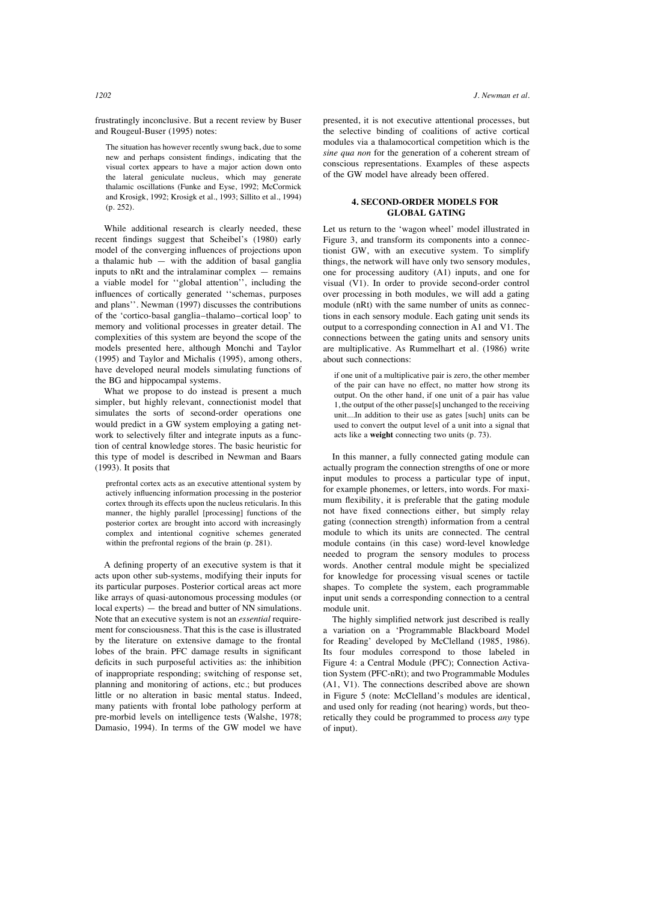frustratingly inconclusive. But a recent review by Buser and Rougeul-Buser (1995) notes:

The situation has however recently swung back, due to some new and perhaps consistent findings, indicating that the visual cortex appears to have a major action down onto the lateral geniculate nucleus, which may generate thalamic oscillations (Funke and Eyse, 1992; McCormick and Krosigk, 1992; Krosigk et al., 1993; Sillito et al., 1994) (p. 252).

While additional research is clearly needed, these recent findings suggest that Scheibel's (1980) early model of the converging influences of projections upon a thalamic hub  $-$  with the addition of basal ganglia inputs to nRt and the intralaminar complex — remains a viable model for ''global attention'', including the influences of cortically generated ''schemas, purposes and plans''. Newman (1997) discusses the contributions of the 'cortico-basal ganglia–thalamo–cortical loop' to memory and volitional processes in greater detail. The complexities of this system are beyond the scope of the models presented here, although Monchi and Taylor (1995) and Taylor and Michalis (1995), among others, have developed neural models simulating functions of the BG and hippocampal systems.

What we propose to do instead is present a much simpler, but highly relevant, connectionist model that simulates the sorts of second-order operations one would predict in a GW system employing a gating network to selectively filter and integrate inputs as a function of central knowledge stores. The basic heuristic for this type of model is described in Newman and Baars (1993). It posits that

prefrontal cortex acts as an executive attentional system by actively influencing information processing in the posterior cortex through its effects upon the nucleus reticularis. In this manner, the highly parallel [processing] functions of the posterior cortex are brought into accord with increasingly complex and intentional cognitive schemes generated within the prefrontal regions of the brain (p. 281).

A defining property of an executive system is that it acts upon other sub-systems, modifying their inputs for its particular purposes. Posterior cortical areas act more like arrays of quasi-autonomous processing modules (or local experts) — the bread and butter of NN simulations. Note that an executive system is not an *essential* requirement for consciousness. That this is the case is illustrated by the literature on extensive damage to the frontal lobes of the brain. PFC damage results in significant deficits in such purposeful activities as: the inhibition of inappropriate responding; switching of response set, planning and monitoring of actions, etc.; but produces little or no alteration in basic mental status. Indeed, many patients with frontal lobe pathology perform at pre-morbid levels on intelligence tests (Walshe, 1978; Damasio, 1994). In terms of the GW model we have

presented, it is not executive attentional processes, but the selective binding of coalitions of active cortical modules via a thalamocortical competition which is the *sine qua non* for the generation of a coherent stream of conscious representations. Examples of these aspects of the GW model have already been offered.

## **4. SECOND-ORDER MODELS FOR GLOBAL GATING**

Let us return to the 'wagon wheel' model illustrated in Figure 3, and transform its components into a connectionist GW, with an executive system. To simplify things, the network will have only two sensory modules, one for processing auditory (A1) inputs, and one for visual (V1). In order to provide second-order control over processing in both modules, we will add a gating module (nRt) with the same number of units as connections in each sensory module. Each gating unit sends its output to a corresponding connection in A1 and V1. The connections between the gating units and sensory units are multiplicative. As Rummelhart et al. (1986) write about such connections:

if one unit of a multiplicative pair is zero, the other member of the pair can have no effect, no matter how strong its output. On the other hand, if one unit of a pair has value 1, the output of the other passe[s] unchanged to the receiving unit....In addition to their use as gates [such] units can be used to convert the output level of a unit into a signal that acts like a **weight** connecting two units (p. 73).

In this manner, a fully connected gating module can actually program the connection strengths of one or more input modules to process a particular type of input, for example phonemes, or letters, into words. For maximum flexibility, it is preferable that the gating module not have fixed connections either, but simply relay gating (connection strength) information from a central module to which its units are connected. The central module contains (in this case) word-level knowledge needed to program the sensory modules to process words. Another central module might be specialized for knowledge for processing visual scenes or tactile shapes. To complete the system, each programmable input unit sends a corresponding connection to a central module unit.

The highly simplified network just described is really a variation on a 'Programmable Blackboard Model for Reading' developed by McClelland (1985, 1986). Its four modules correspond to those labeled in Figure 4: a Central Module (PFC); Connection Activation System (PFC-nRt); and two Programmable Modules (A1, V1). The connections described above are shown in Figure 5 (note: McClelland's modules are identical, and used only for reading (not hearing) words, but theoretically they could be programmed to process *any* type of input).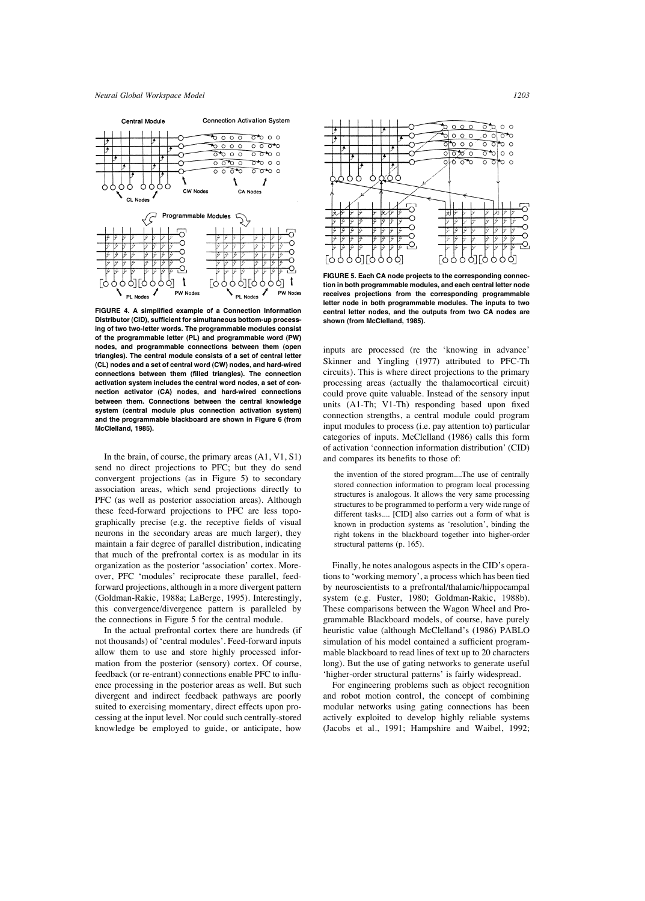

**FIGURE 4. A simplified example of a Connection Information Distributor (CID), sufficient for simultaneous bottom-up processing of two two-letter words. The programmable modules consist of the programmable letter (PL) and programmable word (PW) nodes, and programmable connections between them (open triangles). The central module consists of a set of central letter (CL) nodes and a set of central word (CW) nodes, and hard-wired connections between them (filled triangles). The connection activation system includes the central word nodes, a set of connection activator (CA) nodes, and hard-wired connections between them. Connections between the central knowledge system (central module plus connection activation system) and the programmable blackboard are shown in Figure 6 (from McClelland, 1985).**

In the brain, of course, the primary areas  $(A1, V1, S1)$ send no direct projections to PFC; but they do send convergent projections (as in Figure 5) to secondary association areas, which send projections directly to PFC (as well as posterior association areas). Although these feed-forward projections to PFC are less topographically precise (e.g. the receptive fields of visual neurons in the secondary areas are much larger), they maintain a fair degree of parallel distribution, indicating that much of the prefrontal cortex is as modular in its organization as the posterior 'association' cortex. Moreover, PFC 'modules' reciprocate these parallel, feedforward projections, although in a more divergent pattern (Goldman-Rakic, 1988a; LaBerge, 1995). Interestingly, this convergence/divergence pattern is paralleled by the connections in Figure 5 for the central module.

In the actual prefrontal cortex there are hundreds (if not thousands) of 'central modules'. Feed-forward inputs allow them to use and store highly processed information from the posterior (sensory) cortex. Of course, feedback (or re-entrant) connections enable PFC to influence processing in the posterior areas as well. But such divergent and indirect feedback pathways are poorly suited to exercising momentary, direct effects upon processing at the input level. Nor could such centrally-stored knowledge be employed to guide, or anticipate, how



**FIGURE 5. Each CA node projects to the corresponding connection in both programmable modules, and each central letter node receives projections from the corresponding programmable letter node in both programmable modules. The inputs to two central letter nodes, and the outputs from two CA nodes are shown (from McClelland, 1985).**

inputs are processed (re the 'knowing in advance' Skinner and Yingling (1977) attributed to PFC-Th circuits). This is where direct projections to the primary processing areas (actually the thalamocortical circuit) could prove quite valuable. Instead of the sensory input units (A1-Th; V1-Th) responding based upon fixed connection strengths, a central module could program input modules to process (i.e. pay attention to) particular categories of inputs. McClelland (1986) calls this form of activation 'connection information distribution' (CID) and compares its benefits to those of:

the invention of the stored program....The use of centrally stored connection information to program local processing structures is analogous. It allows the very same processing structures to be programmed to perform a very wide range of different tasks.... [CID] also carries out a form of what is known in production systems as 'resolution', binding the right tokens in the blackboard together into higher-order structural patterns (p. 165).

Finally, he notes analogous aspects in the CID's operations to 'working memory', a process which has been tied by neuroscientists to a prefrontal/thalamic/hippocampal system (e.g. Fuster, 1980; Goldman-Rakic, 1988b). These comparisons between the Wagon Wheel and Programmable Blackboard models, of course, have purely heuristic value (although McClelland's (1986) PABLO simulation of his model contained a sufficient programmable blackboard to read lines of text up to 20 characters long). But the use of gating networks to generate useful 'higher-order structural patterns' is fairly widespread.

For engineering problems such as object recognition and robot motion control, the concept of combining modular networks using gating connections has been actively exploited to develop highly reliable systems (Jacobs et al., 1991; Hampshire and Waibel, 1992;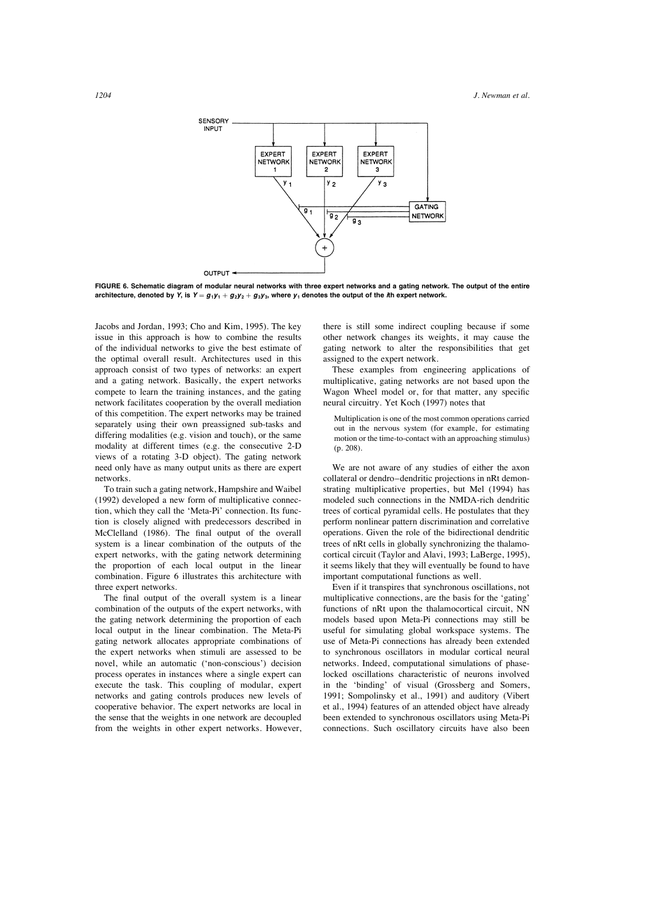

**FIGURE 6. Schematic diagram of modular neural networks with three expert networks and a gating network. The output of the entire** architecture, denoted by Y, is  $Y = g_1y_1 + g_2y_2 + g_3y_3$ , where  $y_1$  denotes the output of the *i*th expert network.

Jacobs and Jordan, 1993; Cho and Kim, 1995). The key issue in this approach is how to combine the results of the individual networks to give the best estimate of the optimal overall result. Architectures used in this approach consist of two types of networks: an expert and a gating network. Basically, the expert networks compete to learn the training instances, and the gating network facilitates cooperation by the overall mediation of this competition. The expert networks may be trained separately using their own preassigned sub-tasks and differing modalities (e.g. vision and touch), or the same modality at different times (e.g. the consecutive 2-D views of a rotating 3-D object). The gating network need only have as many output units as there are expert networks.

To train such a gating network, Hampshire and Waibel (1992) developed a new form of multiplicative connection, which they call the 'Meta-Pi' connection. Its function is closely aligned with predecessors described in McClelland (1986). The final output of the overall system is a linear combination of the outputs of the expert networks, with the gating network determining the proportion of each local output in the linear combination. Figure 6 illustrates this architecture with three expert networks.

The final output of the overall system is a linear combination of the outputs of the expert networks, with the gating network determining the proportion of each local output in the linear combination. The Meta-Pi gating network allocates appropriate combinations of the expert networks when stimuli are assessed to be novel, while an automatic ('non-conscious') decision process operates in instances where a single expert can execute the task. This coupling of modular, expert networks and gating controls produces new levels of cooperative behavior. The expert networks are local in the sense that the weights in one network are decoupled from the weights in other expert networks. However,

there is still some indirect coupling because if some other network changes its weights, it may cause the gating network to alter the responsibilities that get assigned to the expert network.

These examples from engineering applications of multiplicative, gating networks are not based upon the Wagon Wheel model or, for that matter, any specific neural circuitry. Yet Koch (1997) notes that

Multiplication is one of the most common operations carried out in the nervous system (for example, for estimating motion or the time-to-contact with an approaching stimulus) (p. 208).

We are not aware of any studies of either the axon collateral or dendro–dendritic projections in nRt demonstrating multiplicative properties, but Mel (1994) has modeled such connections in the NMDA-rich dendritic trees of cortical pyramidal cells. He postulates that they perform nonlinear pattern discrimination and correlative operations. Given the role of the bidirectional dendritic trees of nRt cells in globally synchronizing the thalamocortical circuit (Taylor and Alavi, 1993; LaBerge, 1995), it seems likely that they will eventually be found to have important computational functions as well.

Even if it transpires that synchronous oscillations, not multiplicative connections, are the basis for the 'gating' functions of nRt upon the thalamocortical circuit, NN models based upon Meta-Pi connections may still be useful for simulating global workspace systems. The use of Meta-Pi connections has already been extended to synchronous oscillators in modular cortical neural networks. Indeed, computational simulations of phaselocked oscillations characteristic of neurons involved in the 'binding' of visual (Grossberg and Somers, 1991; Sompolinsky et al., 1991) and auditory (Vibert et al., 1994) features of an attended object have already been extended to synchronous oscillators using Meta-Pi connections. Such oscillatory circuits have also been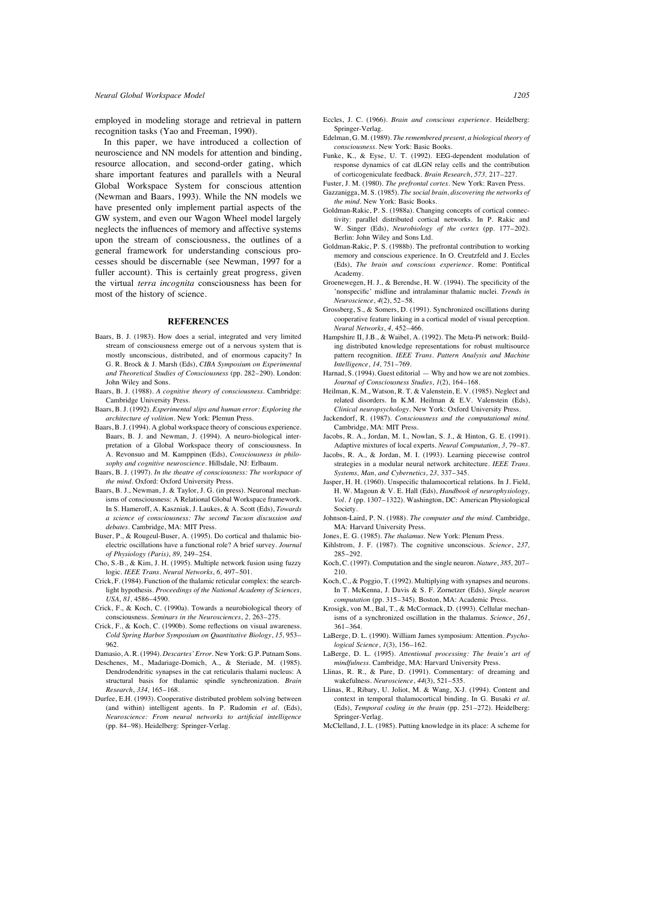employed in modeling storage and retrieval in pattern recognition tasks (Yao and Freeman, 1990).

In this paper, we have introduced a collection of neuroscience and NN models for attention and binding, resource allocation, and second-order gating, which share important features and parallels with a Neural Global Workspace System for conscious attention (Newman and Baars, 1993). While the NN models we have presented only implement partial aspects of the GW system, and even our Wagon Wheel model largely neglects the influences of memory and affective systems upon the stream of consciousness, the outlines of a general framework for understanding conscious processes should be discernable (see Newman, 1997 for a fuller account). This is certainly great progress, given the virtual *terra incognita* consciousness has been for most of the history of science.

#### **REFERENCES**

- Baars, B. J. (1983). How does a serial, integrated and very limited stream of consciousness emerge out of a nervous system that is mostly unconscious, distributed, and of enormous capacity? In G. R. Brock & J. Marsh (Eds), *CIBA Symposium on Experimental and Theoretical Studies of Consciousness* (pp. 282–290). London: John Wiley and Sons.
- Baars, B. J. (1988). *A cognitive theory of consciousness*. Cambridge: Cambridge University Press.
- Baars, B. J. (1992). *Experimental slips and human error: Exploring the architecture of volition*. New York: Plemun Press.
- Baars, B. J. (1994). A global workspace theory of conscious experience. Baars, B. J. and Newman, J. (1994). A neuro-biological interpretation of a Global Workspace theory of consciousness. In A. Revonsuo and M. Kamppinen (Eds), *Consciousness in philosophy and cognitive neuroscience*. Hillsdale, NJ: Erlbaum.
- Baars, B. J. (1997). *In the theatre of consciousness: The workspace of the mind*. Oxford: Oxford University Press.
- Baars, B. J., Newman, J. & Taylor, J. G. (in press). Neuronal mechanisms of consciousness: A Relational Global Workspace framework. In S. Hameroff, A. Kaszniak, J. Laukes, & A. Scott (Eds), *Towards a science of consciousness: The second Tucson discussion and debates*. Cambridge, MA: MIT Press.
- Buser, P., & Rougeul-Buser, A. (1995). Do cortical and thalamic bioelectric oscillations have a functional role? A brief survey. *Journal of Physiology (Paris)*, *89,* 249–254.
- Cho, S.-B., & Kim, J. H. (1995). Multiple network fusion using fuzzy logic. *IEEE Trans. Neural Networks*, *6,* 497–501.
- Crick, F. (1984). Function of the thalamic reticular complex: the searchlight hypothesis. *Proceedings of the National Academy of Sciences, USA*, *81,* 4586–4590.
- Crick, F., & Koch, C. (1990a). Towards a neurobiological theory of consciousness. *Seminars in the Neurosciences*, *2,* 263–275.
- Crick, F., & Koch, C. (1990b). Some reflections on visual awareness. *Cold Spring Harbor Symposium on Quantitative Biology*, *15,* 953– 962.
- Damasio, A. R. (1994). *Descartes' Error*. New York: G.P. Putnam Sons.
- Deschenes, M., Madariage-Domich, A., & Steriade, M. (1985). Dendrodendritic synapses in the cat reticularis thalami nucleus: A structural basis for thalamic spindle synchronization. *Brain Research*, *334,* 165–168.
- Durfee, E.H. (1993). Cooperative distributed problem solving between (and within) intelligent agents. In P. Rudomin *et al*. (Eds), *Neuroscience: From neural networks to artificial intelligence* (pp. 84–98). Heidelberg: Springer-Verlag.
- Eccles, J. C. (1966). *Brain and conscious experience*. Heidelberg: Springer-Verlag.
- Edelman, G. M. (1989). *The remembered present, a biological theory of consciousness*. New York: Basic Books.
- Funke, K., & Eyse, U. T. (1992). EEG-dependent modulation of response dynamics of cat dLGN relay cells and the contribution of corticogeniculate feedback. *Brain Research*, *573,* 217–227.
- Fuster, J. M. (1980). *The prefrontal cortex*. New York: Raven Press.
- Gazzanigga, M. S. (1985). *The social brain, discovering the networks of the mind*. New York: Basic Books.
- Goldman-Rakic, P. S. (1988a). Changing concepts of cortical connectivity: parallel distributed cortical networks. In P. Rakic and W. Singer (Eds), *Neurobiology of the cortex* (pp. 177–202). Berlin: John Wiley and Sons Ltd.
- Goldman-Rakic, P. S. (1988b). The prefrontal contribution to working memory and conscious experience. In O. Creutzfeld and J. Eccles (Eds), *The brain and conscious experience*. Rome: Pontifical Academy.
- Groenewegen, H. J., & Berendse, H. W. (1994). The specificity of the 'nonspecific' midline and intralaminar thalamic nuclei. *Trends in Neuroscience*, *4*(2), 52–58.
- Grossberg, S., & Somers, D. (1991). Synchronized oscillations during cooperative feature linking in a cortical model of visual perception. *Neural Networks*, *4,* 452–466.
- Hampshire II, J.B., & Waibel, A. (1992). The Meta-Pi network: Building distributed knowledge representations for robust multisource pattern recognition. *IEEE Trans. Pattern Analysis and Machine Intelligence*, *14,* 751–769.
- Harnad, S. (1994). Guest editorial Why and how we are not zombies. *Journal of Consciousness Studies*, *1*(2), 164–168.
- Heilman, K. M., Watson, R. T. & Valenstein, E. V. (1985). Neglect and related disorders. In K.M. Heilman & E.V. Valenstein (Eds), *Clinical neuropsychology*. New York: Oxford University Press.
- Jackendorf, R. (1987). *Consciousness and the computational mind*. Cambridge, MA: MIT Press.
- Jacobs, R. A., Jordan, M. I., Nowlan, S. J., & Hinton, G. E. (1991). Adaptive mixtures of local experts. *Neural Computation*, *3,* 79–87.
- Jacobs, R. A., & Jordan, M. I. (1993). Learning piecewise control strategies in a modular neural network architecture. *IEEE Trans. Systems, Man, and Cybernetics*, *23,* 337–345.
- Jasper, H. H. (1960). Unspecific thalamocortical relations. In J. Field, H. W. Magoun & V. E. Hall (Eds), *Handbook of neurophysiology, Vol. 1* (pp. 1307–1322). Washington, DC: American Physiological Society.
- Johnson-Laird, P. N. (1988). *The computer and the mind*. Cambridge, MA: Harvard University Press.
- Jones, E. G. (1985). *The thalamus*. New York: Plenum Press.
- Kihlstrom, J. F. (1987). The cognitive unconscious. *Science*, *237,* 285–292.
- Koch, C. (1997). Computation and the single neuron. *Nature*, *385,* 207– 210.
- Koch, C., & Poggio, T. (1992). Multiplying with synapses and neurons. In T. McKenna, J. Davis & S. F. Zornetzer (Eds), *Single neuron computation* (pp. 315–345). Boston, MA: Academic Press.
- Krosigk, von M., Bal, T., & McCormack, D. (1993). Cellular mechanisms of a synchronized oscillation in the thalamus. *Science*, *261*, 361–364.
- LaBerge, D. L. (1990). William James symposium: Attention. *Psychological Science*, *1*(3), 156–162.
- LaBerge, D. L. (1995). *Attentional processing: The brain's art of mindfulness*. Cambridge, MA: Harvard University Press.
- Llinas, R. R., & Pare, D. (1991). Commentary: of dreaming and wakefulness. *Neuroscience*, *44*(3), 521–535.
- Llinas, R., Ribary, U. Joliot, M. & Wang, X-J. (1994). Content and context in temporal thalamocortical binding. In G. Busaki *et al*. (Eds), *Temporal coding in the brain* (pp. 251–272). Heidelberg: Springer-Verlag.
- McClelland, J. L. (1985). Putting knowledge in its place: A scheme for